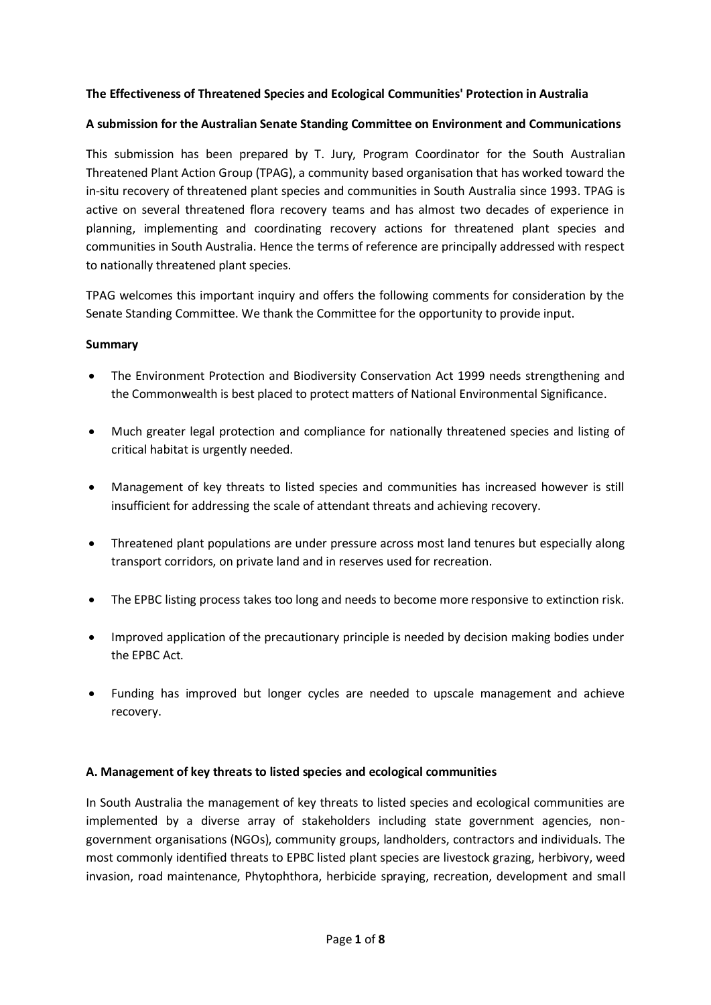#### **The Effectiveness of Threatened Species and Ecological Communities' Protection in Australia**

#### **A submission for the Australian Senate Standing Committee on Environment and Communications**

This submission has been prepared by T. Jury, Program Coordinator for the South Australian Threatened Plant Action Group (TPAG), a community based organisation that has worked toward the in-situ recovery of threatened plant species and communities in South Australia since 1993. TPAG is active on several threatened flora recovery teams and has almost two decades of experience in planning, implementing and coordinating recovery actions for threatened plant species and communities in South Australia. Hence the terms of reference are principally addressed with respect to nationally threatened plant species.

TPAG welcomes this important inquiry and offers the following comments for consideration by the Senate Standing Committee. We thank the Committee for the opportunity to provide input.

#### **Summary**

- The Environment Protection and Biodiversity Conservation Act 1999 needs strengthening and the Commonwealth is best placed to protect matters of National Environmental Significance.
- Much greater legal protection and compliance for nationally threatened species and listing of critical habitat is urgently needed.
- Management of key threats to listed species and communities has increased however is still insufficient for addressing the scale of attendant threats and achieving recovery.
- Threatened plant populations are under pressure across most land tenures but especially along transport corridors, on private land and in reserves used for recreation.
- The EPBC listing process takes too long and needs to become more responsive to extinction risk.
- Improved application of the precautionary principle is needed by decision making bodies under the EPBC Act.
- Funding has improved but longer cycles are needed to upscale management and achieve recovery.

#### **A. Management of key threats to listed species and ecological communities**

In South Australia the management of key threats to listed species and ecological communities are implemented by a diverse array of stakeholders including state government agencies, nongovernment organisations (NGOs), community groups, landholders, contractors and individuals. The most commonly identified threats to EPBC listed plant species are livestock grazing, herbivory, weed invasion, road maintenance, Phytophthora, herbicide spraying, recreation, development and small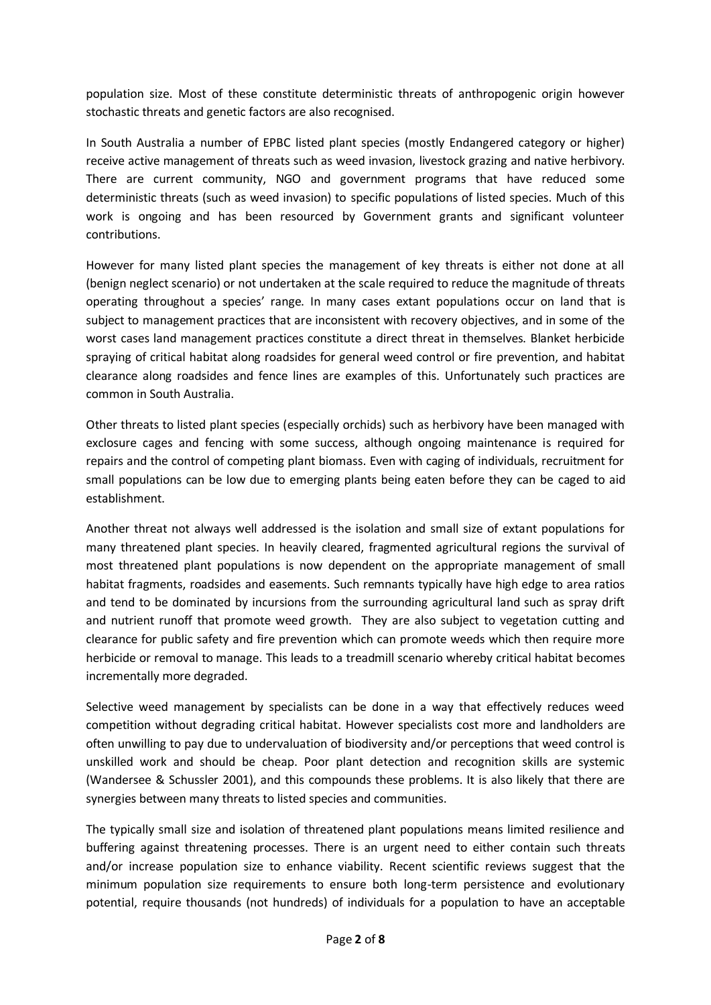population size. Most of these constitute deterministic threats of anthropogenic origin however stochastic threats and genetic factors are also recognised.

In South Australia a number of EPBC listed plant species (mostly Endangered category or higher) receive active management of threats such as weed invasion, livestock grazing and native herbivory. There are current community, NGO and government programs that have reduced some deterministic threats (such as weed invasion) to specific populations of listed species. Much of this work is ongoing and has been resourced by Government grants and significant volunteer contributions.

However for many listed plant species the management of key threats is either not done at all (benign neglect scenario) or not undertaken at the scale required to reduce the magnitude of threats operating throughout a species' range. In many cases extant populations occur on land that is subject to management practices that are inconsistent with recovery objectives, and in some of the worst cases land management practices constitute a direct threat in themselves. Blanket herbicide spraying of critical habitat along roadsides for general weed control or fire prevention, and habitat clearance along roadsides and fence lines are examples of this. Unfortunately such practices are common in South Australia.

Other threats to listed plant species (especially orchids) such as herbivory have been managed with exclosure cages and fencing with some success, although ongoing maintenance is required for repairs and the control of competing plant biomass. Even with caging of individuals, recruitment for small populations can be low due to emerging plants being eaten before they can be caged to aid establishment.

Another threat not always well addressed is the isolation and small size of extant populations for many threatened plant species. In heavily cleared, fragmented agricultural regions the survival of most threatened plant populations is now dependent on the appropriate management of small habitat fragments, roadsides and easements. Such remnants typically have high edge to area ratios and tend to be dominated by incursions from the surrounding agricultural land such as spray drift and nutrient runoff that promote weed growth. They are also subject to vegetation cutting and clearance for public safety and fire prevention which can promote weeds which then require more herbicide or removal to manage. This leads to a treadmill scenario whereby critical habitat becomes incrementally more degraded.

Selective weed management by specialists can be done in a way that effectively reduces weed competition without degrading critical habitat. However specialists cost more and landholders are often unwilling to pay due to undervaluation of biodiversity and/or perceptions that weed control is unskilled work and should be cheap. Poor plant detection and recognition skills are systemic (Wandersee & Schussler 2001), and this compounds these problems. It is also likely that there are synergies between many threats to listed species and communities.

The typically small size and isolation of threatened plant populations means limited resilience and buffering against threatening processes. There is an urgent need to either contain such threats and/or increase population size to enhance viability. Recent scientific reviews suggest that the minimum population size requirements to ensure both long-term persistence and evolutionary potential, require thousands (not hundreds) of individuals for a population to have an acceptable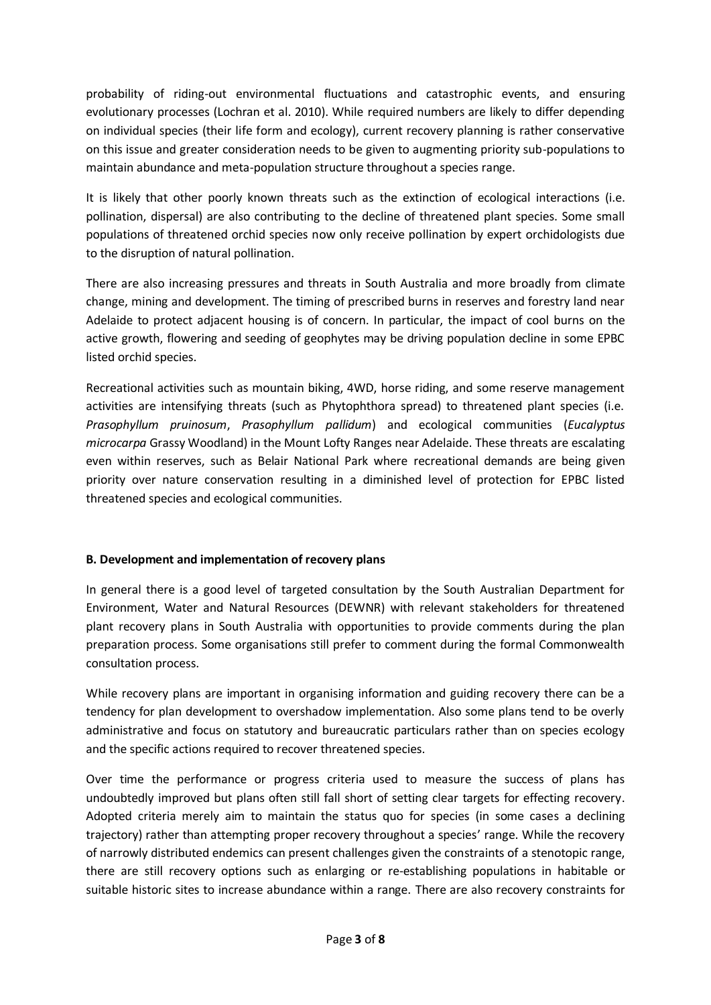probability of riding-out environmental fluctuations and catastrophic events, and ensuring evolutionary processes (Lochran et al. 2010). While required numbers are likely to differ depending on individual species (their life form and ecology), current recovery planning is rather conservative on this issue and greater consideration needs to be given to augmenting priority sub-populations to maintain abundance and meta-population structure throughout a species range.

It is likely that other poorly known threats such as the extinction of ecological interactions (i.e. pollination, dispersal) are also contributing to the decline of threatened plant species. Some small populations of threatened orchid species now only receive pollination by expert orchidologists due to the disruption of natural pollination.

There are also increasing pressures and threats in South Australia and more broadly from climate change, mining and development. The timing of prescribed burns in reserves and forestry land near Adelaide to protect adjacent housing is of concern. In particular, the impact of cool burns on the active growth, flowering and seeding of geophytes may be driving population decline in some EPBC listed orchid species.

Recreational activities such as mountain biking, 4WD, horse riding, and some reserve management activities are intensifying threats (such as Phytophthora spread) to threatened plant species (i.e. *Prasophyllum pruinosum*, *Prasophyllum pallidum*) and ecological communities (*Eucalyptus microcarpa* Grassy Woodland) in the Mount Lofty Ranges near Adelaide. These threats are escalating even within reserves, such as Belair National Park where recreational demands are being given priority over nature conservation resulting in a diminished level of protection for EPBC listed threatened species and ecological communities.

# **B. Development and implementation of recovery plans**

In general there is a good level of targeted consultation by the South Australian Department for Environment, Water and Natural Resources (DEWNR) with relevant stakeholders for threatened plant recovery plans in South Australia with opportunities to provide comments during the plan preparation process. Some organisations still prefer to comment during the formal Commonwealth consultation process.

While recovery plans are important in organising information and guiding recovery there can be a tendency for plan development to overshadow implementation. Also some plans tend to be overly administrative and focus on statutory and bureaucratic particulars rather than on species ecology and the specific actions required to recover threatened species.

Over time the performance or progress criteria used to measure the success of plans has undoubtedly improved but plans often still fall short of setting clear targets for effecting recovery. Adopted criteria merely aim to maintain the status quo for species (in some cases a declining trajectory) rather than attempting proper recovery throughout a species' range. While the recovery of narrowly distributed endemics can present challenges given the constraints of a stenotopic range, there are still recovery options such as enlarging or re-establishing populations in habitable or suitable historic sites to increase abundance within a range. There are also recovery constraints for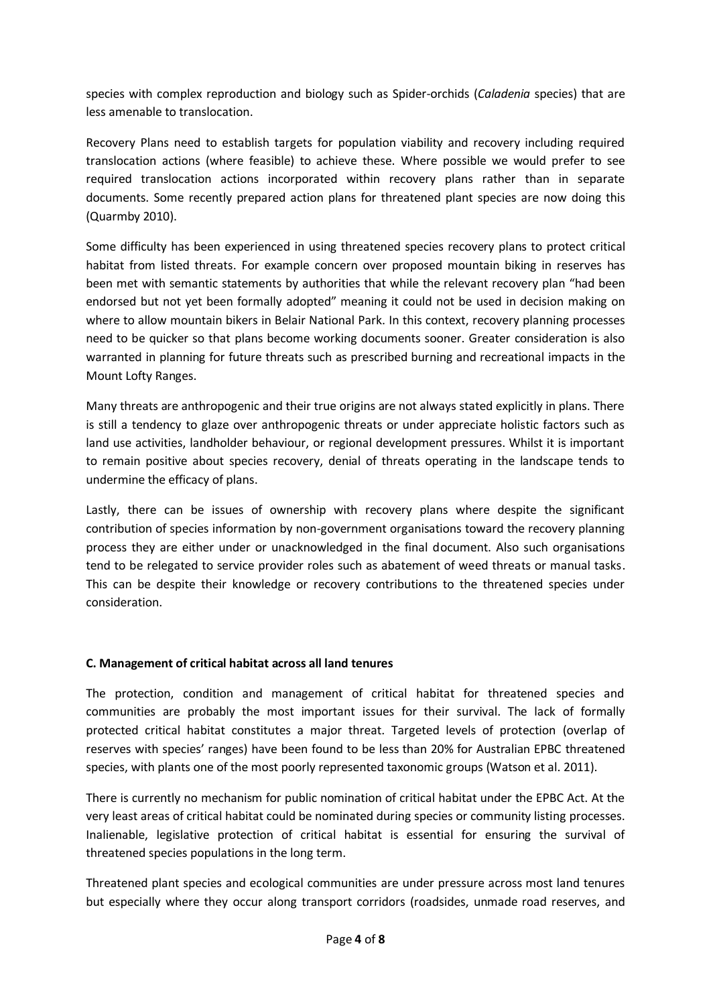species with complex reproduction and biology such as Spider-orchids (*Caladenia* species) that are less amenable to translocation.

Recovery Plans need to establish targets for population viability and recovery including required translocation actions (where feasible) to achieve these. Where possible we would prefer to see required translocation actions incorporated within recovery plans rather than in separate documents. Some recently prepared action plans for threatened plant species are now doing this (Quarmby 2010).

Some difficulty has been experienced in using threatened species recovery plans to protect critical habitat from listed threats. For example concern over proposed mountain biking in reserves has been met with semantic statements by authorities that while the relevant recovery plan "had been endorsed but not yet been formally adopted" meaning it could not be used in decision making on where to allow mountain bikers in Belair National Park. In this context, recovery planning processes need to be quicker so that plans become working documents sooner. Greater consideration is also warranted in planning for future threats such as prescribed burning and recreational impacts in the Mount Lofty Ranges.

Many threats are anthropogenic and their true origins are not always stated explicitly in plans. There is still a tendency to glaze over anthropogenic threats or under appreciate holistic factors such as land use activities, landholder behaviour, or regional development pressures. Whilst it is important to remain positive about species recovery, denial of threats operating in the landscape tends to undermine the efficacy of plans.

Lastly, there can be issues of ownership with recovery plans where despite the significant contribution of species information by non-government organisations toward the recovery planning process they are either under or unacknowledged in the final document. Also such organisations tend to be relegated to service provider roles such as abatement of weed threats or manual tasks. This can be despite their knowledge or recovery contributions to the threatened species under consideration.

### **C. Management of critical habitat across all land tenures**

The protection, condition and management of critical habitat for threatened species and communities are probably the most important issues for their survival. The lack of formally protected critical habitat constitutes a major threat. Targeted levels of protection (overlap of reserves with species' ranges) have been found to be less than 20% for Australian EPBC threatened species, with plants one of the most poorly represented taxonomic groups (Watson et al. 2011).

There is currently no mechanism for public nomination of critical habitat under the EPBC Act. At the very least areas of critical habitat could be nominated during species or community listing processes. Inalienable, legislative protection of critical habitat is essential for ensuring the survival of threatened species populations in the long term.

Threatened plant species and ecological communities are under pressure across most land tenures but especially where they occur along transport corridors (roadsides, unmade road reserves, and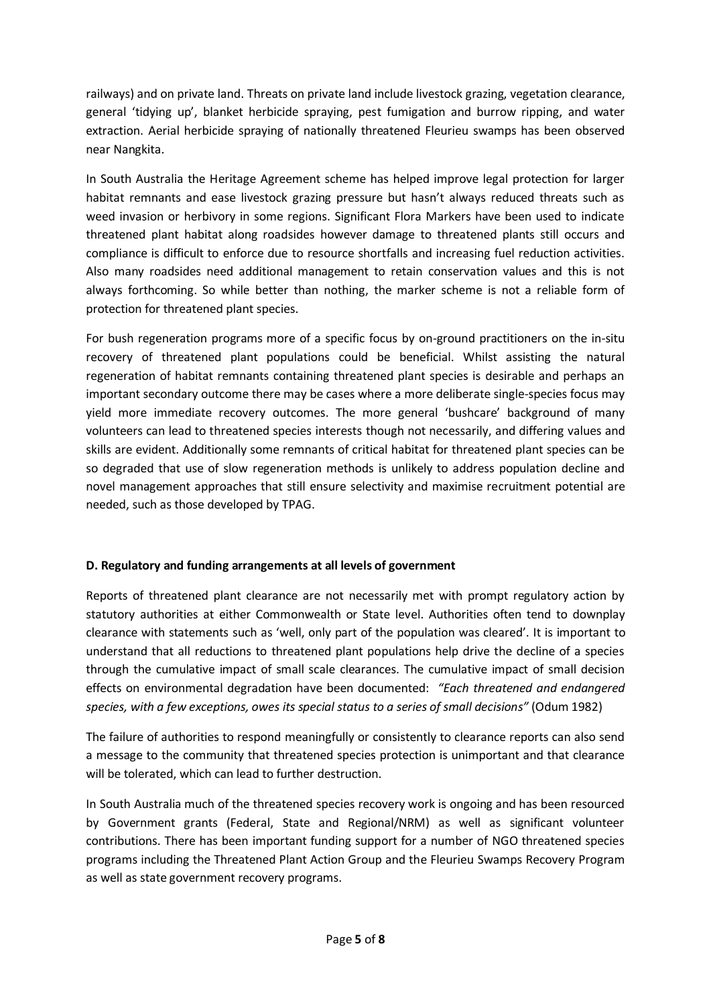railways) and on private land. Threats on private land include livestock grazing, vegetation clearance, general 'tidying up', blanket herbicide spraying, pest fumigation and burrow ripping, and water extraction. Aerial herbicide spraying of nationally threatened Fleurieu swamps has been observed near Nangkita.

In South Australia the Heritage Agreement scheme has helped improve legal protection for larger habitat remnants and ease livestock grazing pressure but hasn't always reduced threats such as weed invasion or herbivory in some regions. Significant Flora Markers have been used to indicate threatened plant habitat along roadsides however damage to threatened plants still occurs and compliance is difficult to enforce due to resource shortfalls and increasing fuel reduction activities. Also many roadsides need additional management to retain conservation values and this is not always forthcoming. So while better than nothing, the marker scheme is not a reliable form of protection for threatened plant species.

For bush regeneration programs more of a specific focus by on-ground practitioners on the in-situ recovery of threatened plant populations could be beneficial. Whilst assisting the natural regeneration of habitat remnants containing threatened plant species is desirable and perhaps an important secondary outcome there may be cases where a more deliberate single-species focus may yield more immediate recovery outcomes. The more general 'bushcare' background of many volunteers can lead to threatened species interests though not necessarily, and differing values and skills are evident. Additionally some remnants of critical habitat for threatened plant species can be so degraded that use of slow regeneration methods is unlikely to address population decline and novel management approaches that still ensure selectivity and maximise recruitment potential are needed, such as those developed by TPAG.

### **D. Regulatory and funding arrangements at all levels of government**

Reports of threatened plant clearance are not necessarily met with prompt regulatory action by statutory authorities at either Commonwealth or State level. Authorities often tend to downplay clearance with statements such as 'well, only part of the population was cleared'. It is important to understand that all reductions to threatened plant populations help drive the decline of a species through the cumulative impact of small scale clearances. The cumulative impact of small decision effects on environmental degradation have been documented: *"Each threatened and endangered species, with a few exceptions, owes its special status to a series of small decisions"* (Odum 1982)

The failure of authorities to respond meaningfully or consistently to clearance reports can also send a message to the community that threatened species protection is unimportant and that clearance will be tolerated, which can lead to further destruction.

In South Australia much of the threatened species recovery work is ongoing and has been resourced by Government grants (Federal, State and Regional/NRM) as well as significant volunteer contributions. There has been important funding support for a number of NGO threatened species programs including the Threatened Plant Action Group and the Fleurieu Swamps Recovery Program as well as state government recovery programs.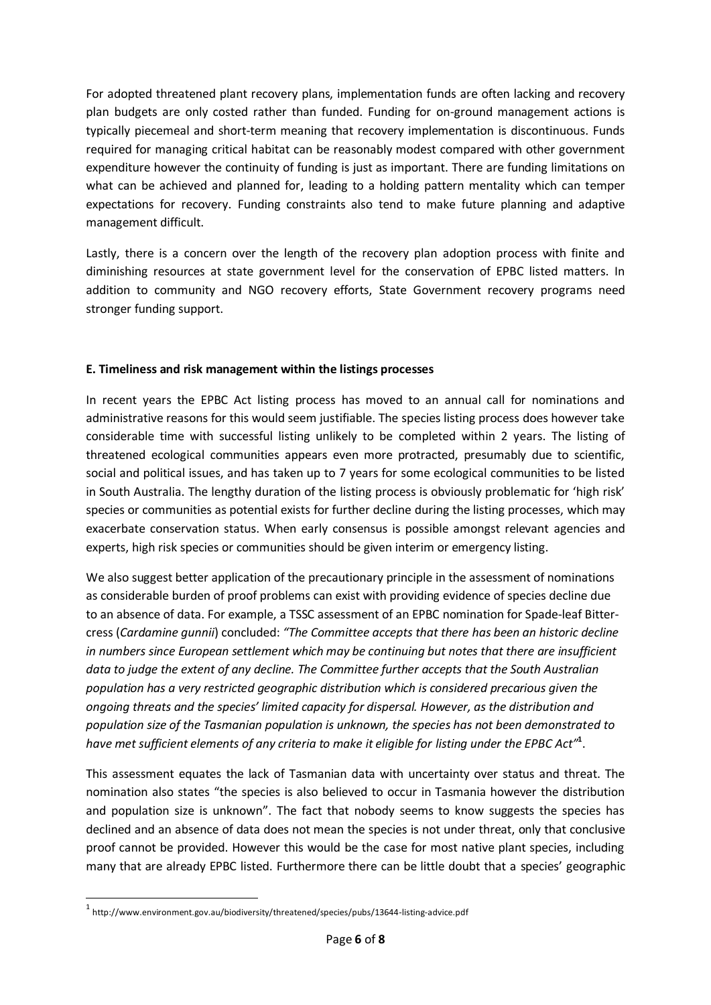For adopted threatened plant recovery plans, implementation funds are often lacking and recovery plan budgets are only costed rather than funded. Funding for on-ground management actions is typically piecemeal and short-term meaning that recovery implementation is discontinuous. Funds required for managing critical habitat can be reasonably modest compared with other government expenditure however the continuity of funding is just as important. There are funding limitations on what can be achieved and planned for, leading to a holding pattern mentality which can temper expectations for recovery. Funding constraints also tend to make future planning and adaptive management difficult.

Lastly, there is a concern over the length of the recovery plan adoption process with finite and diminishing resources at state government level for the conservation of EPBC listed matters. In addition to community and NGO recovery efforts, State Government recovery programs need stronger funding support.

# **E. Timeliness and risk management within the listings processes**

In recent years the EPBC Act listing process has moved to an annual call for nominations and administrative reasons for this would seem justifiable. The species listing process does however take considerable time with successful listing unlikely to be completed within 2 years. The listing of threatened ecological communities appears even more protracted, presumably due to scientific, social and political issues, and has taken up to 7 years for some ecological communities to be listed in South Australia. The lengthy duration of the listing process is obviously problematic for 'high risk' species or communities as potential exists for further decline during the listing processes, which may exacerbate conservation status. When early consensus is possible amongst relevant agencies and experts, high risk species or communities should be given interim or emergency listing.

We also suggest better application of the precautionary principle in the assessment of nominations as considerable burden of proof problems can exist with providing evidence of species decline due to an absence of data. For example, a TSSC assessment of an EPBC nomination for Spade-leaf Bittercress (*Cardamine gunnii*) concluded: *"The Committee accepts that there has been an historic decline in numbers since European settlement which may be continuing but notes that there are insufficient data to judge the extent of any decline. The Committee further accepts that the South Australian population has a very restricted geographic distribution which is considered precarious given the ongoing threats and the species' limited capacity for dispersal. However, as the distribution and population size of the Tasmanian population is unknown, the species has not been demonstrated to have met sufficient elements of any criteria to make it eligible for listing under the EPBC Act"***<sup>1</sup>** .

This assessment equates the lack of Tasmanian data with uncertainty over status and threat. The nomination also states "the species is also believed to occur in Tasmania however the distribution and population size is unknown". The fact that nobody seems to know suggests the species has declined and an absence of data does not mean the species is not under threat, only that conclusive proof cannot be provided. However this would be the case for most native plant species, including many that are already EPBC listed. Furthermore there can be little doubt that a species' geographic

1

<sup>1</sup> http://www.environment.gov.au/biodiversity/threatened/species/pubs/13644-listing-advice.pdf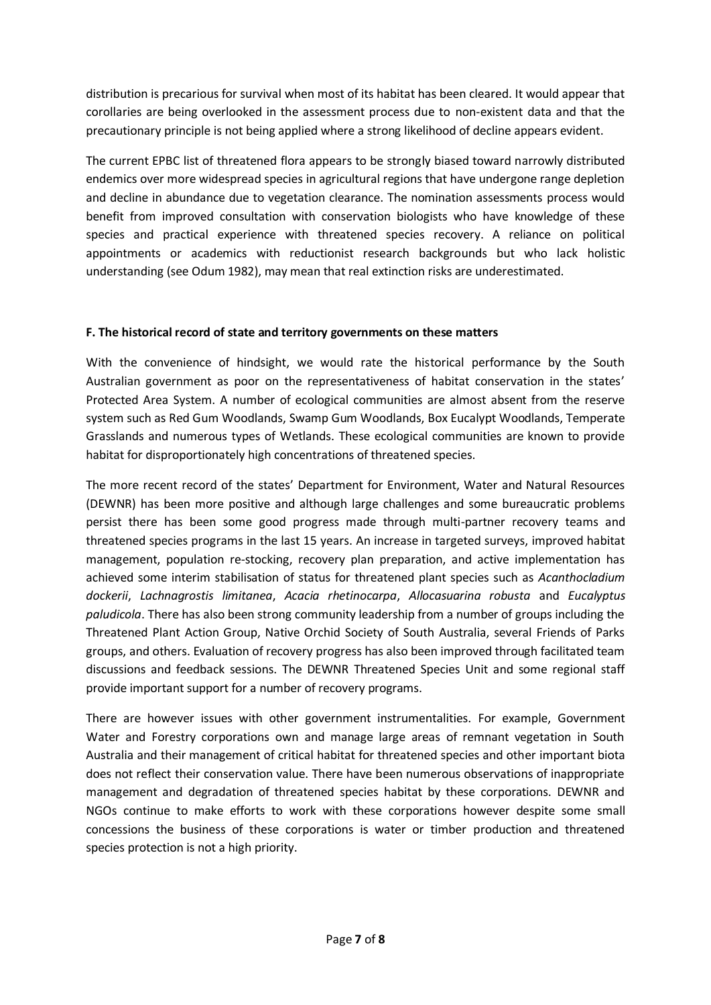distribution is precarious for survival when most of its habitat has been cleared. It would appear that corollaries are being overlooked in the assessment process due to non-existent data and that the precautionary principle is not being applied where a strong likelihood of decline appears evident.

The current EPBC list of threatened flora appears to be strongly biased toward narrowly distributed endemics over more widespread species in agricultural regions that have undergone range depletion and decline in abundance due to vegetation clearance. The nomination assessments process would benefit from improved consultation with conservation biologists who have knowledge of these species and practical experience with threatened species recovery. A reliance on political appointments or academics with reductionist research backgrounds but who lack holistic understanding (see Odum 1982), may mean that real extinction risks are underestimated.

# **F. The historical record of state and territory governments on these matters**

With the convenience of hindsight, we would rate the historical performance by the South Australian government as poor on the representativeness of habitat conservation in the states' Protected Area System. A number of ecological communities are almost absent from the reserve system such as Red Gum Woodlands, Swamp Gum Woodlands, Box Eucalypt Woodlands, Temperate Grasslands and numerous types of Wetlands. These ecological communities are known to provide habitat for disproportionately high concentrations of threatened species.

The more recent record of the states' Department for Environment, Water and Natural Resources (DEWNR) has been more positive and although large challenges and some bureaucratic problems persist there has been some good progress made through multi-partner recovery teams and threatened species programs in the last 15 years. An increase in targeted surveys, improved habitat management, population re-stocking, recovery plan preparation, and active implementation has achieved some interim stabilisation of status for threatened plant species such as *Acanthocladium dockerii*, *Lachnagrostis limitanea*, *Acacia rhetinocarpa*, *Allocasuarina robusta* and *Eucalyptus paludicola*. There has also been strong community leadership from a number of groups including the Threatened Plant Action Group, Native Orchid Society of South Australia, several Friends of Parks groups, and others. Evaluation of recovery progress has also been improved through facilitated team discussions and feedback sessions. The DEWNR Threatened Species Unit and some regional staff provide important support for a number of recovery programs.

There are however issues with other government instrumentalities. For example, Government Water and Forestry corporations own and manage large areas of remnant vegetation in South Australia and their management of critical habitat for threatened species and other important biota does not reflect their conservation value. There have been numerous observations of inappropriate management and degradation of threatened species habitat by these corporations. DEWNR and NGOs continue to make efforts to work with these corporations however despite some small concessions the business of these corporations is water or timber production and threatened species protection is not a high priority.